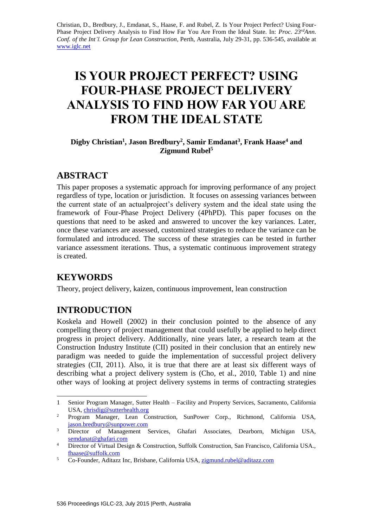Christian, D., Bredbury, J., Emdanat, S., Haase, F. and Rubel, Z. Is Your Project Perfect? Using Four-Phase Project Delivery Analysis to Find How Far You Are From the Ideal State. In: *Proc. 23rdAnn. Conf. of the Int'l. Group for Lean Construction*, Perth, Australia, July 29-31, pp. 536-545, available at [www.iglc.net](http://www.iglc.net/)

# **IS YOUR PROJECT PERFECT? USING FOUR-PHASE PROJECT DELIVERY ANALYSIS TO FIND HOW FAR YOU ARE FROM THE IDEAL STATE**

### **Digby Christian<sup>1</sup> , Jason Bredbury<sup>2</sup> , Samir Emdanat<sup>3</sup> , Frank Haase<sup>4</sup> and Zigmund Rubel<sup>5</sup>**

# **ABSTRACT**

This paper proposes a systematic approach for improving performance of any project regardless of type, location or jurisdiction. It focuses on assessing variances between the current state of an actualproject's delivery system and the ideal state using the framework of Four-Phase Project Delivery (4PhPD). This paper focuses on the questions that need to be asked and answered to uncover the key variances. Later, once these variances are assessed, customized strategies to reduce the variance can be formulated and introduced. The success of these strategies can be tested in further variance assessment iterations. Thus, a systematic continuous improvement strategy is created.

# **KEYWORDS**

1

Theory, project delivery, kaizen, continuous improvement, lean construction

# **INTRODUCTION**

Koskela and Howell (2002) in their conclusion pointed to the absence of any compelling theory of project management that could usefully be applied to help direct progress in project delivery. Additionally, nine years later, a research team at the Construction Industry Institute (CII) posited in their conclusion that an entirely new paradigm was needed to guide the implementation of successful project delivery strategies (CII, 2011). Also, it is true that there are at least six different ways of describing what a project delivery system is (Cho, et al., 2010, Table 1) and nine other ways of looking at project delivery systems in terms of contracting strategies

<sup>1</sup> Senior Program Manager, Sutter Health – Facility and Property Services, Sacramento, California USA[, chrisdig@sutterhealth.org](mailto:chrisdig@sutterhealth.org)

<sup>&</sup>lt;sup>2</sup> Program Manager, Lean Construction, SunPower Corp., Richmond, California USA, [jason.bredbury@sunpower.com](file:///G:/IGLC%20Review/Paper%20compiled/Theory/144%20ready/bredbury@sunpower.com)

<sup>&</sup>lt;sup>3</sup> Director of Management Services, Ghafari Associates, Dearborn, Michigan USA, [semdanat@ghafari.com](mailto:semdanat@ghafari.com)

<sup>&</sup>lt;sup>4</sup> Director of Virtual Design & Construction, Suffolk Construction, San Francisco, California USA., [fhaase@suffolk.com](file:///G:/IGLC%20Review/Paper%20compiled/Theory/144%20ready/fhaase@suffolk.com)

<sup>5</sup> Co-Founder, Aditazz Inc, Brisbane, California USA, [zigmund.rubel@aditazz.com](file:///G:/IGLC%20Review/Paper%20compiled/Theory/144%20ready/zigmund.rubel@aditazz.com)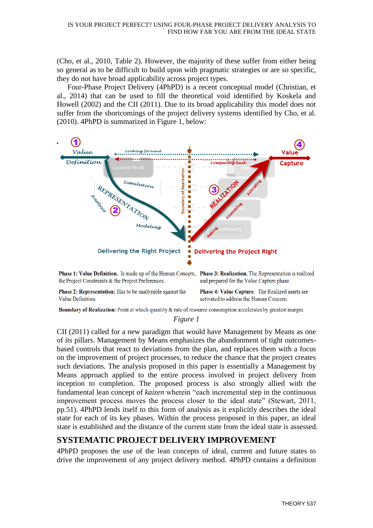(Cho, et al., 2010, Table 2). However, the majority of these suffer from either being so general as to be difficult to build upon with pragmatic strategies or are so specific, they do not have broad applicability across project types.

Four-Phase Project Delivery (4PhPD) is a recent conceptual model (Christian, et al., 2014) that can be used to fill the theoretical void identified by Koskela and Howell (2002) and the CII (2011). Due to its broad applicability this model does not suffer from the shortcomings of the project delivery systems identified by Cho, et al. (2010). 4PhPD is summarized in Figure 1, below:



Phase 2: Representation: Has to be analyzable against the Value Definition:

Phase 4: Value Capture. The Realized assets are activated to address the Human Concern.

Boundary of Realization: Point at which quantity & rate of resource consumption accelerates by greatest margin.

#### *Figure 1*

CII (2011) called for a new paradigm that would have Management by Means as one of its pillars. Management by Means emphasizes the abandonment of tight outcomesbased controls that react to deviations from the plan, and replaces them with a focus on the improvement of project processes, to reduce the chance that the project creates such deviations. The analysis proposed in this paper is essentially a Management by Means approach applied to the entire process involved in project delivery from inception to completion. The proposed process is also strongly allied with the fundamental lean concept of *kaizen* wherein "each incremental step in the continuous improvement process moves the process closer to the ideal state" (Stewart, 2011, pp.51). 4PhPD lends itself to this form of analysis as it explicitly describes the ideal state for each of its key phases. Within the process proposed in this paper, an ideal state is established and the distance of the current state from the ideal state is assessed.

### **SYSTEMATIC PROJECT DELIVERY IMPROVEMENT**

4PhPD proposes the use of the lean concepts of ideal, current and future states to drive the improvement of any project delivery method. 4PhPD contains a definition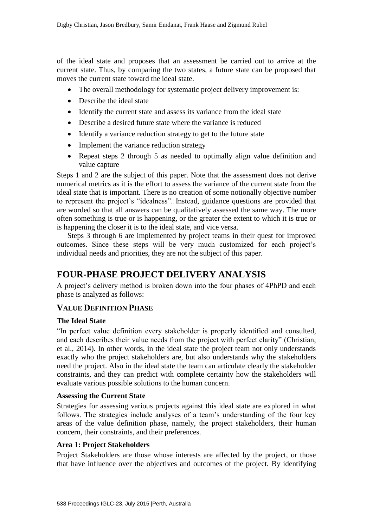of the ideal state and proposes that an assessment be carried out to arrive at the current state. Thus, by comparing the two states, a future state can be proposed that moves the current state toward the ideal state.

- The overall methodology for systematic project delivery improvement is:
- Describe the ideal state
- Identify the current state and assess its variance from the ideal state
- Describe a desired future state where the variance is reduced
- Identify a variance reduction strategy to get to the future state
- Implement the variance reduction strategy
- Repeat steps 2 through 5 as needed to optimally align value definition and value capture

Steps 1 and 2 are the subject of this paper. Note that the assessment does not derive numerical metrics as it is the effort to assess the variance of the current state from the ideal state that is important. There is no creation of some notionally objective number to represent the project's "idealness". Instead, guidance questions are provided that are worded so that all answers can be qualitatively assessed the same way. The more often something is true or is happening, or the greater the extent to which it is true or is happening the closer it is to the ideal state, and vice versa.

Steps 3 through 6 are implemented by project teams in their quest for improved outcomes. Since these steps will be very much customized for each project's individual needs and priorities, they are not the subject of this paper.

# **FOUR-PHASE PROJECT DELIVERY ANALYSIS**

A project's delivery method is broken down into the four phases of 4PhPD and each phase is analyzed as follows:

### **VALUE DEFINITION PHASE**

#### **The Ideal State**

"In perfect value definition every stakeholder is properly identified and consulted, and each describes their value needs from the project with perfect clarity" (Christian, et al., 2014). In other words, in the ideal state the project team not only understands exactly who the project stakeholders are, but also understands why the stakeholders need the project. Also in the ideal state the team can articulate clearly the stakeholder constraints, and they can predict with complete certainty how the stakeholders will evaluate various possible solutions to the human concern.

#### **Assessing the Current State**

Strategies for assessing various projects against this ideal state are explored in what follows. The strategies include analyses of a team's understanding of the four key areas of the value definition phase, namely, the project stakeholders, their human concern, their constraints, and their preferences.

#### **Area 1: Project Stakeholders**

Project Stakeholders are those whose interests are affected by the project, or those that have influence over the objectives and outcomes of the project. By identifying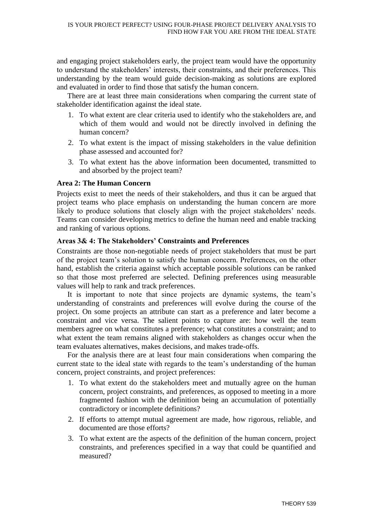and engaging project stakeholders early, the project team would have the opportunity to understand the stakeholders' interests, their constraints, and their preferences. This understanding by the team would guide decision-making as solutions are explored and evaluated in order to find those that satisfy the human concern.

There are at least three main considerations when comparing the current state of stakeholder identification against the ideal state.

- 1. To what extent are clear criteria used to identify who the stakeholders are, and which of them would and would not be directly involved in defining the human concern?
- 2. To what extent is the impact of missing stakeholders in the value definition phase assessed and accounted for?
- 3. To what extent has the above information been documented, transmitted to and absorbed by the project team?

#### **Area 2: The Human Concern**

Projects exist to meet the needs of their stakeholders, and thus it can be argued that project teams who place emphasis on understanding the human concern are more likely to produce solutions that closely align with the project stakeholders' needs. Teams can consider developing metrics to define the human need and enable tracking and ranking of various options.

#### **Areas 3& 4: The Stakeholders' Constraints and Preferences**

Constraints are those non-negotiable needs of project stakeholders that must be part of the project team's solution to satisfy the human concern. Preferences, on the other hand, establish the criteria against which acceptable possible solutions can be ranked so that those most preferred are selected. Defining preferences using measurable values will help to rank and track preferences.

It is important to note that since projects are dynamic systems, the team's understanding of constraints and preferences will evolve during the course of the project. On some projects an attribute can start as a preference and later become a constraint and vice versa. The salient points to capture are: how well the team members agree on what constitutes a preference; what constitutes a constraint; and to what extent the team remains aligned with stakeholders as changes occur when the team evaluates alternatives, makes decisions, and makes trade-offs.

For the analysis there are at least four main considerations when comparing the current state to the ideal state with regards to the team's understanding of the human concern, project constraints, and project preferences:

- 1. To what extent do the stakeholders meet and mutually agree on the human concern, project constraints, and preferences, as opposed to meeting in a more fragmented fashion with the definition being an accumulation of potentially contradictory or incomplete definitions?
- 2. If efforts to attempt mutual agreement are made, how rigorous, reliable, and documented are those efforts?
- 3. To what extent are the aspects of the definition of the human concern, project constraints, and preferences specified in a way that could be quantified and measured?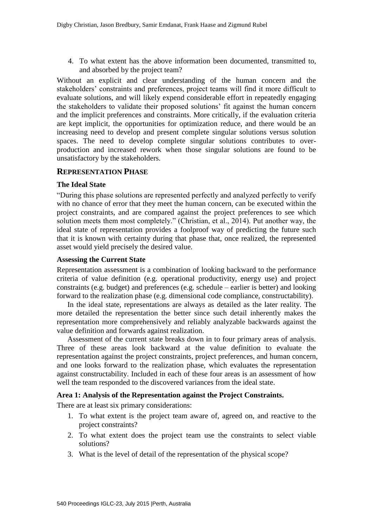4. To what extent has the above information been documented, transmitted to, and absorbed by the project team?

Without an explicit and clear understanding of the human concern and the stakeholders' constraints and preferences, project teams will find it more difficult to evaluate solutions, and will likely expend considerable effort in repeatedly engaging the stakeholders to validate their proposed solutions' fit against the human concern and the implicit preferences and constraints. More critically, if the evaluation criteria are kept implicit, the opportunities for optimization reduce, and there would be an increasing need to develop and present complete singular solutions versus solution spaces. The need to develop complete singular solutions contributes to overproduction and increased rework when those singular solutions are found to be unsatisfactory by the stakeholders.

#### **REPRESENTATION PHASE**

#### **The Ideal State**

"During this phase solutions are represented perfectly and analyzed perfectly to verify with no chance of error that they meet the human concern, can be executed within the project constraints, and are compared against the project preferences to see which solution meets them most completely." (Christian, et al., 2014). Put another way, the ideal state of representation provides a foolproof way of predicting the future such that it is known with certainty during that phase that, once realized, the represented asset would yield precisely the desired value.

#### **Assessing the Current State**

Representation assessment is a combination of looking backward to the performance criteria of value definition (e.g. operational productivity, energy use) and project constraints (e.g. budget) and preferences (e.g. schedule – earlier is better) and looking forward to the realization phase (e.g. dimensional code compliance, constructability).

In the ideal state, representations are always as detailed as the later reality. The more detailed the representation the better since such detail inherently makes the representation more comprehensively and reliably analyzable backwards against the value definition and forwards against realization.

Assessment of the current state breaks down in to four primary areas of analysis. Three of these areas look backward at the value definition to evaluate the representation against the project constraints, project preferences, and human concern, and one looks forward to the realization phase, which evaluates the representation against constructability. Included in each of these four areas is an assessment of how well the team responded to the discovered variances from the ideal state.

#### **Area 1: Analysis of the Representation against the Project Constraints.**

There are at least six primary considerations:

- 1. To what extent is the project team aware of, agreed on, and reactive to the project constraints?
- 2. To what extent does the project team use the constraints to select viable solutions?
- 3. What is the level of detail of the representation of the physical scope?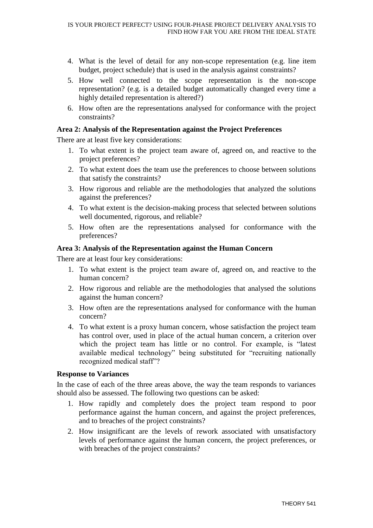- 4. What is the level of detail for any non-scope representation (e.g. line item budget, project schedule) that is used in the analysis against constraints?
- 5. How well connected to the scope representation is the non-scope representation? (e.g. is a detailed budget automatically changed every time a highly detailed representation is altered?)
- 6. How often are the representations analysed for conformance with the project constraints?

#### **Area 2: Analysis of the Representation against the Project Preferences**

There are at least five key considerations:

- 1. To what extent is the project team aware of, agreed on, and reactive to the project preferences?
- 2. To what extent does the team use the preferences to choose between solutions that satisfy the constraints?
- 3. How rigorous and reliable are the methodologies that analyzed the solutions against the preferences?
- 4. To what extent is the decision-making process that selected between solutions well documented, rigorous, and reliable?
- 5. How often are the representations analysed for conformance with the preferences?

#### **Area 3: Analysis of the Representation against the Human Concern**

There are at least four key considerations:

- 1. To what extent is the project team aware of, agreed on, and reactive to the human concern?
- 2. How rigorous and reliable are the methodologies that analysed the solutions against the human concern?
- 3. How often are the representations analysed for conformance with the human concern?
- 4. To what extent is a proxy human concern, whose satisfaction the project team has control over, used in place of the actual human concern, a criterion over which the project team has little or no control. For example, is "latest available medical technology" being substituted for "recruiting nationally recognized medical staff"?

#### **Response to Variances**

In the case of each of the three areas above, the way the team responds to variances should also be assessed. The following two questions can be asked:

- 1. How rapidly and completely does the project team respond to poor performance against the human concern, and against the project preferences, and to breaches of the project constraints?
- 2. How insignificant are the levels of rework associated with unsatisfactory levels of performance against the human concern, the project preferences, or with breaches of the project constraints?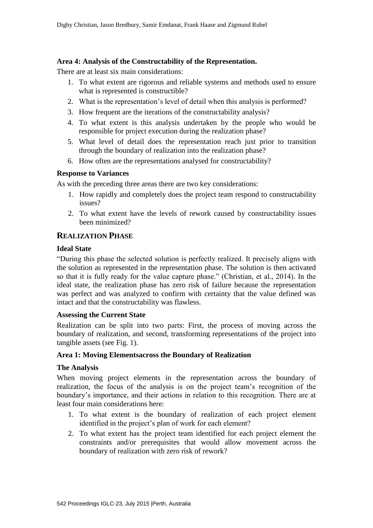#### **Area 4: Analysis of the Constructability of the Representation.**

There are at least six main considerations:

- 1. To what extent are rigorous and reliable systems and methods used to ensure what is represented is constructible?
- 2. What is the representation's level of detail when this analysis is performed?
- 3. How frequent are the iterations of the constructability analysis?
- 4. To what extent is this analysis undertaken by the people who would be responsible for project execution during the realization phase?
- 5. What level of detail does the representation reach just prior to transition through the boundary of realization into the realization phase?
- 6. How often are the representations analysed for constructability?

#### **Response to Variances**

As with the preceding three areas there are two key considerations:

- 1. How rapidly and completely does the project team respond to constructability issues?
- 2. To what extent have the levels of rework caused by constructability issues been minimized?

### **REALIZATION PHASE**

#### **Ideal State**

"During this phase the selected solution is perfectly realized. It precisely aligns with the solution as represented in the representation phase. The solution is then activated so that it is fully ready for the value capture phase." (Christian, et al., 2014). In the ideal state, the realization phase has zero risk of failure because the representation was perfect and was analyzed to confirm with certainty that the value defined was intact and that the constructability was flawless.

#### **Assessing the Current State**

Realization can be split into two parts: First, the process of moving across the boundary of realization, and second, transforming representations of the project into tangible assets (see Fig. 1).

#### **Area 1: Moving Elementsacross the Boundary of Realization**

#### **The Analysis**

When moving project elements in the representation across the boundary of realization, the focus of the analysis is on the project team's recognition of the boundary's importance, and their actions in relation to this recognition. There are at least four main considerations here:

- 1. To what extent is the boundary of realization of each project element identified in the project's plan of work for each element?
- 2. To what extent has the project team identified for each project element the constraints and/or prerequisites that would allow movement across the boundary of realization with zero risk of rework?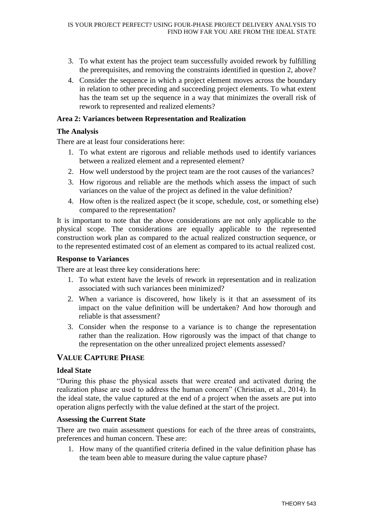- 3. To what extent has the project team successfully avoided rework by fulfilling the prerequisites, and removing the constraints identified in question 2, above?
- 4. Consider the sequence in which a project element moves across the boundary in relation to other preceding and succeeding project elements. To what extent has the team set up the sequence in a way that minimizes the overall risk of rework to represented and realized elements?

#### **Area 2: Variances between Representation and Realization**

#### **The Analysis**

There are at least four considerations here:

- 1. To what extent are rigorous and reliable methods used to identify variances between a realized element and a represented element?
- 2. How well understood by the project team are the root causes of the variances?
- 3. How rigorous and reliable are the methods which assess the impact of such variances on the value of the project as defined in the value definition?
- 4. How often is the realized aspect (be it scope, schedule, cost, or something else) compared to the representation?

It is important to note that the above considerations are not only applicable to the physical scope. The considerations are equally applicable to the represented construction work plan as compared to the actual realized construction sequence, or to the represented estimated cost of an element as compared to its actual realized cost.

#### **Response to Variances**

There are at least three key considerations here:

- 1. To what extent have the levels of rework in representation and in realization associated with such variances been minimized?
- 2. When a variance is discovered, how likely is it that an assessment of its impact on the value definition will be undertaken? And how thorough and reliable is that assessment?
- 3. Consider when the response to a variance is to change the representation rather than the realization. How rigorously was the impact of that change to the representation on the other unrealized project elements assessed?

### **VALUE CAPTURE PHASE**

#### **Ideal State**

"During this phase the physical assets that were created and activated during the realization phase are used to address the human concern" (Christian, et al., 2014). In the ideal state, the value captured at the end of a project when the assets are put into operation aligns perfectly with the value defined at the start of the project.

#### **Assessing the Current State**

There are two main assessment questions for each of the three areas of constraints, preferences and human concern. These are:

1. How many of the quantified criteria defined in the value definition phase has the team been able to measure during the value capture phase?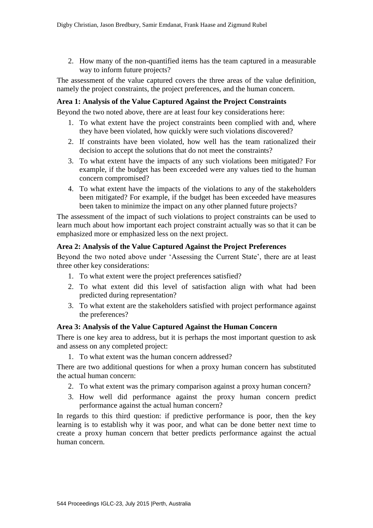2. How many of the non-quantified items has the team captured in a measurable way to inform future projects?

The assessment of the value captured covers the three areas of the value definition, namely the project constraints, the project preferences, and the human concern.

#### **Area 1: Analysis of the Value Captured Against the Project Constraints**

Beyond the two noted above, there are at least four key considerations here:

- 1. To what extent have the project constraints been complied with and, where they have been violated, how quickly were such violations discovered?
- 2. If constraints have been violated, how well has the team rationalized their decision to accept the solutions that do not meet the constraints?
- 3. To what extent have the impacts of any such violations been mitigated? For example, if the budget has been exceeded were any values tied to the human concern compromised?
- 4. To what extent have the impacts of the violations to any of the stakeholders been mitigated? For example, if the budget has been exceeded have measures been taken to minimize the impact on any other planned future projects?

The assessment of the impact of such violations to project constraints can be used to learn much about how important each project constraint actually was so that it can be emphasized more or emphasized less on the next project.

#### **Area 2: Analysis of the Value Captured Against the Project Preferences**

Beyond the two noted above under 'Assessing the Current State', there are at least three other key considerations:

- 1. To what extent were the project preferences satisfied?
- 2. To what extent did this level of satisfaction align with what had been predicted during representation?
- 3. To what extent are the stakeholders satisfied with project performance against the preferences?

#### **Area 3: Analysis of the Value Captured Against the Human Concern**

There is one key area to address, but it is perhaps the most important question to ask and assess on any completed project:

1. To what extent was the human concern addressed?

There are two additional questions for when a proxy human concern has substituted the actual human concern:

- 2. To what extent was the primary comparison against a proxy human concern?
- 3. How well did performance against the proxy human concern predict performance against the actual human concern?

In regards to this third question: if predictive performance is poor, then the key learning is to establish why it was poor, and what can be done better next time to create a proxy human concern that better predicts performance against the actual human concern.